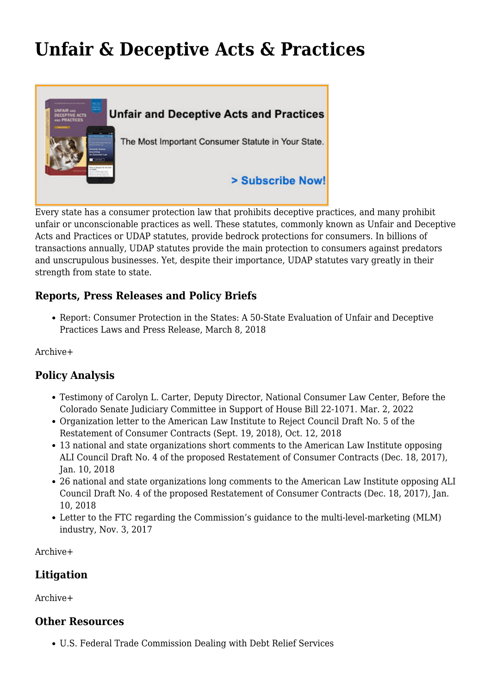# **[Unfair & Deceptive Acts & Practices](https://www.nclc.org/issues/unfair-a-deceptive-acts-a-practices.html)**



Every state has a consumer protection law that prohibits deceptive practices, and many prohibit unfair or unconscionable practices as well. These statutes, commonly known as Unfair and Deceptive Acts and Practices or UDAP statutes, provide bedrock protections for consumers. In billions of transactions annually, UDAP statutes provide the main protection to consumers against predators and unscrupulous businesses. Yet, despite their importance, UDAP statutes vary greatly in their strength from state to state.

# **Reports, Press Releases and Policy Briefs**

• Report: [Consumer Protection in the States: A 50-State Evaluation of Unfair and Deceptive](http://bit.ly/2DJKbGp) [Practices Laws](http://bit.ly/2DJKbGp) and [Press Release,](https://www.nclc.org/media-center/how-well-do-states-protect-consumers-udap.html) March 8, 2018

[Archive+](https://www.nclc.org/issues/archive/unfair-deceptive-acts-practices-archive.html#reports)

# **Policy Analysis**

- [Testimony](https://www.nclc.org/images/pdf/udap/Colorado-HB22-1071-Carter-NCLC-3-2-22.pdf) of Carolyn L. Carter, Deputy Director, National Consumer Law Center, Before the Colorado Senate Judiciary Committee in Support of House Bill 22-1071. Mar. 2, 2022
- [Organization letter](https://www.nclc.org/images/pdf/udap/letter-reject-council-draft-no.5-oct2018.pdf) to the American Law Institute to Reject Council Draft No. 5 of the Restatement of Consumer Contracts (Sept. 19, 2018), Oct. 12, 2018
- [13 national and state organizations short comments to the American Law Institute opposing](https://www.nclc.org/images/pdf/udap/13-ali-comments-council-draft-4.pdf) [ALI Council Draft No. 4 of the proposed Restatement of Consumer Contracts](https://www.nclc.org/images/pdf/udap/13-ali-comments-council-draft-4.pdf) (Dec. 18, 2017), Jan. 10, 2018
- [26 national and state organizations long comments to the American Law Institute opposing ALI](https://www.nclc.org/images/pdf/udap/26-ali-comments-council-draft-4.pdf) [Council Draft No. 4 of the proposed Restatement of Consumer Contracts](https://www.nclc.org/images/pdf/udap/26-ali-comments-council-draft-4.pdf) (Dec. 18, 2017), Jan. 10, 2018
- [Letter to the FTC regarding the Commission's guidance to the multi-level-marketing \(MLM\)](https://www.nclc.org/images/pdf/rulemaking/letter-mlm-guidance.pdf) [industry](https://www.nclc.org/images/pdf/rulemaking/letter-mlm-guidance.pdf), Nov. 3, 2017

[Archive+](https://www.nclc.org/issues/archive/unfair-deceptive-acts-practices-archive.html#policy)

### **Litigation**

[Archive+](https://www.nclc.org/issues/archive/unfair-deceptive-acts-practices-archive.html#litigation)

### **Other Resources**

[U.S. Federal Trade Commission Dealing with Debt Relief Services](http://ftc.gov/bcp/edu/microsites/moneymatters/dealing-with-debt-relief-services.shtml)